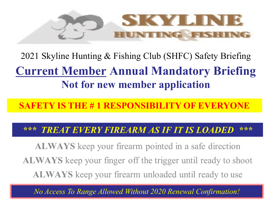

**SKYLINE**<br>
2021 Skyline Hunting & Fishing Club (SHFC) Safety Briefing<br>
Current Member Annual Mandatory Briefing<br>
Not for new member application Not for new member application 2021 Skyline Hunting & Fishing Club (SHFC) Safety Briefing

SAFETY IS THE # 1 RESPONSIBILITY OF EVERYONE

**TREAT EVERY FIREARM AS IF IT IS LOADED** \*\*\*

**ALWAYS** keep your firearm pointed in a safe direction **ALWAYS** keep your finger off the trigger until ready to shoot **ALWAYS** keep your firearm unloaded until ready to use

No Access To Range Allowed Without 2020 Renewal Confirmation!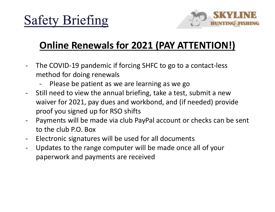

#### Online Renewals for 2021 (PAY ATTENTION!)

- Safety Briefing<br>
Online Renewals for 2021 (PAY ATTENTION!)<br>
The COVID-19 pandemic if forcing SHFC to go to a contact-less<br>
method for doing renewals<br>
 Please be patient as we are learning as we go<br>
Still pood to vious the method for doing renewals
	-
- Fety Briefing<br>
Online Renewals for 2021 (PAY ATTENTION!)<br>
he COVID-19 pandemic if forcing SHFC to go to a contact-less<br>
nethod for doing renewals<br>
 Please be patient as we are learning as we go<br>
till need to view the annu **Safety Briefing**<br> **Online Renewals for 2021 (PAY ATTENTION!)**<br>
The COVID-19 pandemic if forcing SHFC to go to a contact-less<br>
method for doing renewals<br>
- Please be patient as we are learning as we go<br>
Still need to view waiver for 2021, pay dues and workbond, and (if needed) provide proof you signed up for RSO shifts **Online Renewals for 2021 (PAY ATTENTION!)**<br>
The COVID-19 pandemic if forcing SHFC to go to a contact-less<br>
method for doing renewals<br>
Please be patient as we are learning as we go<br>
Still need to view the annual briefing, - The COVID-19 pandemic if forcing SHFC to go to a contact-less<br>method for doing renewals<br>- Please be patient as we are learning as we go<br>Still need to view the annual briefing, take a test, submit a new<br>waiver for 2021, p - The COVID-19 pandemic if forcing SHFC to go to a contact-less<br>method for doing renewals<br>- Please be patient as we are learning as we go<br>- Still need to view the annual briefing, take a test, submit a new<br>waiver for 2021,
- to the club P.O. Box
- 
- paperwork and payments are received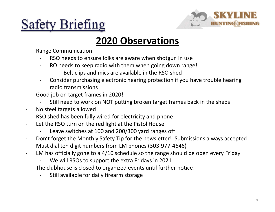# Safety Briefing<br>2020 Observ<br>- Range Communication<br>- RSO needs to ensure folks are aware where<br>- RO needs to keep radio with them when<br>- Belt clips and mics are available in t



#### 2020 Observations

- -
	- -
- Character School and Character School and Character School angle Communication<br>The RSO needs to ensure folks are aware when shotgun in use<br>The Ro needs to keep radio with them when going down range!<br>The Rowsider purchasing Character School Character School Character School Character School Character School Character School Character School Character School Character School Character School Character School Consider purchasing electronic hear Friend Communication<br>
Communication<br>
So needs to ensure folks are aware when shotgun in use<br>
O needs to keep radio with them when going down range!<br>
- Belt clips and mics are available in the RSO shed<br>
onsider purchasing e - Consider purchasing electronic hearing protection if you have trouble hearing radio transmissions! **Safety Briefing<br>
2020 Observat**<br>
Range Communication<br>
RSO needs to ensure folks are aware when so<br>
- RO needs to keep radio with them when goi<br>
- Belt clips and mics are available in the<br>
- Consider purchasing electronic Figure 1.1 and 2020 COLOR CONSERVATIONS<br>
THE CONSERVATIONS<br>
- RSO needs to ensure folks are aware when shotgun in use<br>
- RO needs to keep radio with them when going down range!<br>
- Belt clips and mics are available in the R **EXECTS STIGTING 2020 Observ**<br>
Range Communication<br>
- RSO needs to ensure folks are aware where the state are available in the state of the state and mics are available in the state of consider purchasing electronic hearin **2020 Observations**<br>
Range Communication<br>
RSO needs to ensure folks are aware when shotgun in use<br>
- RO needs to keep radio with them when going down range!<br>
- Belt clips and mics are available in the RSO shed<br>
- Consider **2020 Observations**<br>
Range Communication<br>
RSO needs to ensure folks are aware when shotgun in use<br>
RO needs to keep radio with them when going down range!<br>
- Belt clips and mics are available in the RSO shed<br>
- Consider pu ange Communication<br>
- RSO needs to ensure folks are aware when shotgun in use<br>
- RO needs to keep radio with them when going down range!<br>
- Belt clips and mics are available in the RSO shed<br>
- Consider purchasing electroni - RSO needs to ensure folks are aware when shotgun in use<br>- RO needs to keep radio with them when going down range!<br>- Belt clips and mics are available in the RSO shed<br>- Consider purchasing electronic hearing protection if - Must dial ten digit numbers from LM phones (303-977-4646)<br>- Must dial ten dial ten dial ten dial ten dial ten dial ten dial ten dial ten dial ten dial consider purchasing electronic hearing protection if you have trouble - Belt clips and mics are available in the RSO shed<br>- Consider purchasing electronic hearing protection if you have trouble hearing<br>radio transmissions!<br>- Good job on target frames in 2020!<br>- Still meed to work on NOT putt - Consider purchasing electronic hearing protection if you have trouble h<br>radio transmissions!<br>ood job on target frames in 2020!<br>- Still need to work on NOT putting broken target frames back in the shee<br>o steel targets all Fraction and the club and the shedse included transmissions!<br>
The club diversity is closed to work on NOT putting broken target frames back in the sheds<br>
- No steel targets allowed!<br>
- RSO shed has been fully wired for ele
- -
- 
- radio charge frames in 2020!<br>- Still need to work on NOT putting broken targe<br>io steel targets allowed!<br>SO shed has been fully wired for electricity and ph<br>et the RSO turn on the red light at the Pistol House<br>- Leave switc
- -
- 
- 
- -
- -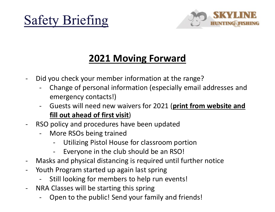



#### 2021 Moving Forward

- 
- Safety Briefing<br>2021 Moving Forward<br>- Did you check your member information at the range?<br>- Change of personal information (especially email addresses and<br>emergency contacts!) Fety Briefing<br>2021 Moving Forward<br>Did you check your member information at the range?<br>- Change of personal information (especially email addresses and<br>- Guests will need new waivers for 2021 (print from website and emergency contacts!) **EVALUATE SET ASSEM SET ASSEM SET AND SET AND SET AND SET AND SET AND SET AND SET AND SET AND SET AND SET AND SET AND SET AND SET AND SET AND SET AND SET AND SET AND SET AND SET AND SET AND SET AND SET AND SET AND SET AND 2021 Moving Forward**<br>
Did you check your member information at the range?<br>
- Change of personal information (especially email addresses<br>
emergency contacts!)<br>
- Guests will need new waivers for 2021 (print from website a<br> **2021 Moving Forward**<br>
Did you check your member information at the<br>
- Change of personal information (especially<br>
emergency contacts!)<br>
- Guests will need new waivers for 2021 (printil<br>
fill out ahead of first visit)<br>
SO **2021 Moving Forward**<br>
bu check your member information at the range?<br>
hange of personal information (especially email addresses and<br>
mergency contacts!)<br>
iuests will need new waivers for 2021 (print from website and<br>
ill by the club show the club shoulder the club shoulder the control of the control of the control of mergency contacts!)<br>
Figures is will need new waivers for 2021 (print from web<br>
<u>Ill out ahead of first visit</u>)<br>
Diligotion - Did you check your member information at the range?<br>
- Change of personal information (especially email addresses and<br>
emergency contacts!)<br>
- Guests will need new waivers for 2021 (print from website and<br>
fill out ahead
- fill out ahead of first visit) - Change of personal information (especially email addr<br>
emergency contacts!)<br>
- Guests will need new waivers for 2021 (print from we<br>
fill out ahead of first visit)<br>
- RSO policy and procedures have been updated<br>
- More R emergency contacts!)<br>
- Guests will need new waivers for 2021 (**print from webs**<br> **fill out ahead of first visit)**<br>
SO policy and procedures have been updated<br>
- More RSOs being trained<br>
- Utilizing Pistol House for classr - Guests will need new waivers for 2021 (**print from**<br> **fill out ahead of first visit)**<br>
- RSO policy and procedures have been updated<br>
- More RSOs being trained<br>
- Utilizing Pistol House for classroom portion<br>
- Everyone
- - -
		-
- **IM out ahead of first visit)**<br>
SO policy and procedures have been updated<br>
 More RSOs being trained<br>
 Utilizing Pistol House for classroom portion<br>
 Everyone in the club should be an RSO!<br>
Aasks and physical distancing
- -
- -